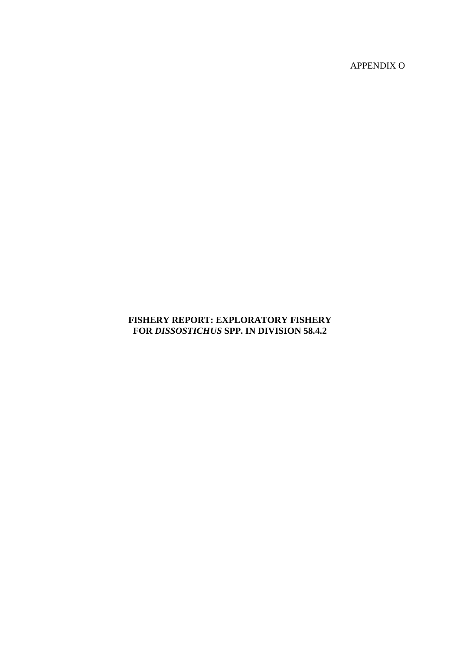APPENDIX O

## **FISHERY REPORT: EXPLORATORY FISHERY FOR** *DISSOSTICHUS* **SPP. IN DIVISION 58.4.2**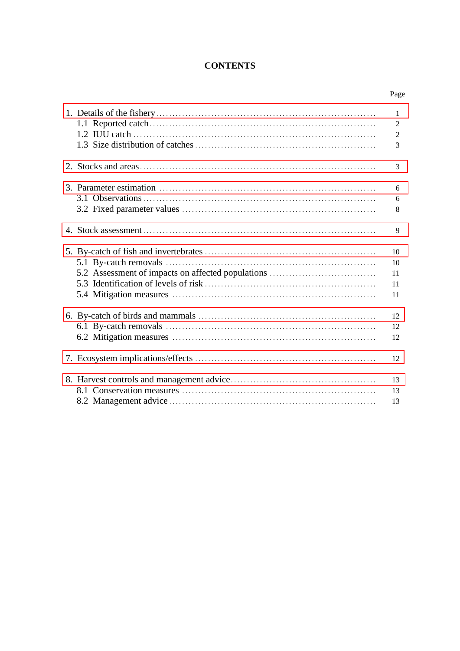# **CONTENTS**

|                                                   | $\mathbf{1}$<br>$\overline{2}$<br>$\overline{2}$<br>3 |
|---------------------------------------------------|-------------------------------------------------------|
|                                                   | 3                                                     |
|                                                   | 6<br>6<br>8                                           |
|                                                   | 9                                                     |
| 5.2 Assessment of impacts on affected populations | 10<br>10<br>11<br>11<br>11                            |
|                                                   | 12<br>12<br>12                                        |
|                                                   | 12                                                    |
|                                                   | 13<br>13<br>13                                        |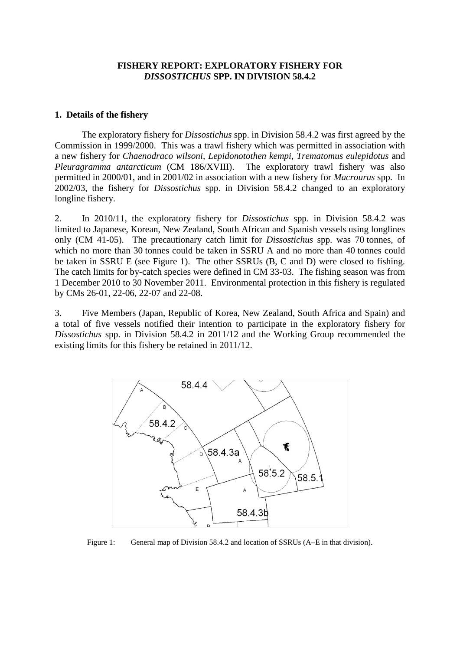### **FISHERY REPORT: EXPLORATORY FISHERY FOR**  *DISSOSTICHUS* **SPP. IN DIVISION 58.4.2**

#### <span id="page-2-0"></span>**1. Details of the fishery**

The exploratory fishery for *Dissostichus* spp. in Division 58.4.2 was first agreed by the Commission in 1999/2000. This was a trawl fishery which was permitted in association with a new fishery for *Chaenodraco wilsoni*, *Lepidonotothen kempi*, *Trematomus eulepidotus* and *Pleuragramma antarcticum* (CM 186/XVIII). permitted in 2000/01, and in 2001/02 in association with a new fishery for *Macrourus* spp. In 2002/03, the fishery for *Dissostichus* spp. in Division 58.4.2 changed to an exploratory longline fishery.

2. In 2010/11, the exploratory fishery for *Dissostichus* spp. in Division 58.4.2 was limited to Japanese, Korean, New Zealand, South African and Spanish vessels using longlines only (CM 41-05). The precautionary catch limit for *Dissostichus* spp. was 70 tonnes, of which no more than 30 tonnes could be taken in SSRU A and no more than 40 tonnes could be taken in SSRU E (see Figure 1). The other SSRUs (B, C and D) were closed to fishing. The catch limits for by-catch species were defined in CM 33-03. The fishing season was from 1 December 2010 to 30 November 2011. Environmental protection in this fishery is regulated by CMs 26-01, 22-06, 22-07 and 22-08.

3. Five Members (Japan, Republic of Korea, New Zealand, South Africa and Spain) and a total of five vessels notified their intention to participate in the exploratory fishery for *Dissostichus* spp. in Division 58.4.2 in 2011/12 and the Working Group recommended the existing limits for this fishery be retained in 2011/12.



Figure 1: General map of Division 58.4.2 and location of SSRUs (A–E in that division).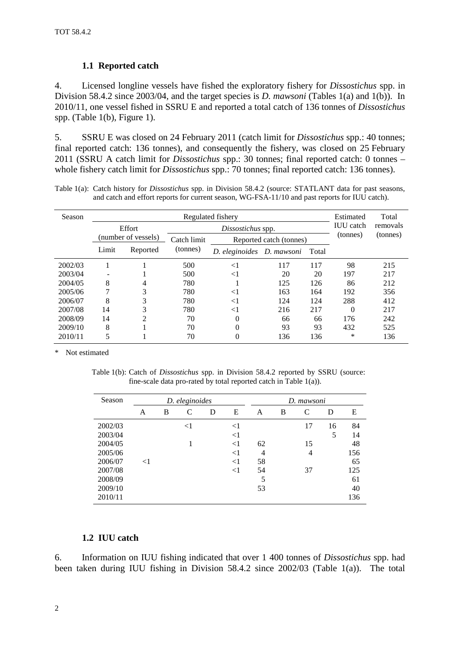## **1.1 Reported catch**

4. Licensed longline vessels have fished the exploratory fishery for *Dissostichus* spp. in Division 58.4.2 since 2003/04, and the target species is *D. mawsoni* (Tables 1(a) and 1(b)). In 2010/11, one vessel fished in SSRU E and reported a total catch of 136 tonnes of *Dissostichus* spp. (Table 1(b), Figure 1).

5. SSRU E was closed on 24 February 2011 (catch limit for *Dissostichus* spp.: 40 tonnes; final reported catch: 136 tonnes), and consequently the fishery, was closed on 25 February 2011 (SSRU A catch limit for *Dissostichus* spp.: 30 tonnes; final reported catch: 0 tonnes – whole fishery catch limit for *Dissostichus* spp.: 70 tonnes; final reported catch: 136 tonnes).

| Season  | Regulated fishery |                     |             |                                    |                         |     |                  | Total    |
|---------|-------------------|---------------------|-------------|------------------------------------|-------------------------|-----|------------------|----------|
|         |                   | Effort              |             | Dissostichus spp.                  |                         |     | <b>IUU</b> catch | removals |
|         |                   | (number of vessels) | Catch limit |                                    | Reported catch (tonnes) |     | (tonnes)         | (tonnes) |
|         | Limit             | Reported            | (tonnes)    | D. eleginoides D. mawsoni<br>Total |                         |     |                  |          |
| 2002/03 |                   |                     | 500         | $<$ 1                              | 117                     | 117 | 98               | 215      |
| 2003/04 |                   |                     | 500         | $<$ 1                              | 20                      | 20  | 197              | 217      |
| 2004/05 | 8                 | 4                   | 780         |                                    | 125                     | 126 | 86               | 212      |
| 2005/06 | 7                 | 3                   | 780         | $<$ 1                              | 163                     | 164 | 192              | 356      |
| 2006/07 | 8                 | 3                   | 780         | $<$ 1                              | 124                     | 124 | 288              | 412      |
| 2007/08 | 14                | 3                   | 780         | $<$ 1                              | 216                     | 217 | $\Omega$         | 217      |
| 2008/09 | 14                | $\mathfrak{D}$      | 70          | $\theta$                           | 66                      | 66  | 176              | 242      |
| 2009/10 | 8                 |                     | 70          | $\theta$                           | 93                      | 93  | 432              | 525      |
| 2010/11 |                   |                     | 70          | $\theta$                           | 136                     | 136 | *                | 136      |

Table 1(a): Catch history for *Dissostichus* spp. in Division 58.4.2 (source: STATLANT data for past seasons, and catch and effort reports for current season, WG-FSA-11/10 and past reports for IUU catch).

Not estimated

Table 1(b): Catch of *Dissostichus* spp. in Division 58.4.2 reported by SSRU (source: fine-scale data pro-rated by total reported catch in Table 1(a)).

| Season  | D. eleginoides |   |        |   |          | D. mawsoni |   |    |    |     |
|---------|----------------|---|--------|---|----------|------------|---|----|----|-----|
|         | A              | B | C      | D | Е        | A          | В | C  | D  | E   |
| 2002/03 |                |   | ${<}1$ |   | $<$ 1    |            |   | 17 | 16 | 84  |
| 2003/04 |                |   |        |   | $\leq$ 1 |            |   |    | 5  | 14  |
| 2004/05 |                |   |        |   | $<$ 1    | 62         |   | 15 |    | 48  |
| 2005/06 |                |   |        |   | $<$ 1    | 4          |   | 4  |    | 156 |
| 2006/07 | $<$ 1          |   |        |   | $<$ 1    | 58         |   |    |    | 65  |
| 2007/08 |                |   |        |   | $<$ 1    | 54         |   | 37 |    | 125 |
| 2008/09 |                |   |        |   |          | 5          |   |    |    | 61  |
| 2009/10 |                |   |        |   |          | 53         |   |    |    | 40  |
| 2010/11 |                |   |        |   |          |            |   |    |    | 136 |

#### **1.2 IUU catch**

6. Information on IUU fishing indicated that over 1 400 tonnes of *Dissostichus* spp. had been taken during IUU fishing in Division 58.4.2 since 2002/03 (Table 1(a)). The total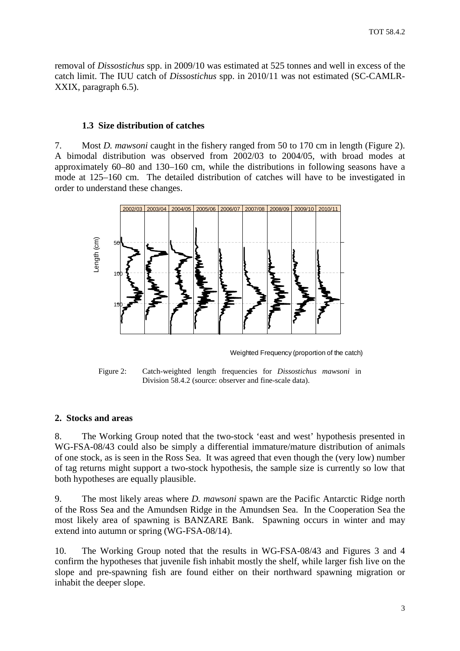<span id="page-4-0"></span>removal of *Dissostichus* spp. in 2009/10 was estimated at 525 tonnes and well in excess of the catch limit. The IUU catch of *Dissostichus* spp. in 2010/11 was not estimated (SC-CAMLR-XXIX, paragraph 6.5).

## **1.3 Size distribution of catches**

7. Most *D. mawsoni* caught in the fishery ranged from 50 to 170 cm in length (Figure 2). A bimodal distribution was observed from 2002/03 to 2004/05, with broad modes at approximately 60–80 and 130–160 cm, while the distributions in following seasons have a mode at 125–160 cm. The detailed distribution of catches will have to be investigated in order to understand these changes.



Weighted Frequency (proportion of the catch)

Figure 2: Catch-weighted length frequencies for *Dissostichus mawsoni* in Division 58.4.2 (source: observer and fine-scale data).

### **2. Stocks and areas**

8. The Working Group noted that the two-stock 'east and west' hypothesis presented in WG-FSA-08/43 could also be simply a differential immature/mature distribution of animals of one stock, as is seen in the Ross Sea. It was agreed that even though the (very low) number of tag returns might support a two-stock hypothesis, the sample size is currently so low that both hypotheses are equally plausible.

9. The most likely areas where *D. mawsoni* spawn are the Pacific Antarctic Ridge north of the Ross Sea and the Amundsen Ridge in the Amundsen Sea. In the Cooperation Sea the most likely area of spawning is BANZARE Bank. Spawning occurs in winter and may extend into autumn or spring (WG-FSA-08/14).

10. The Working Group noted that the results in WG-FSA-08/43 and Figures 3 and 4 confirm the hypotheses that juvenile fish inhabit mostly the shelf, while larger fish live on the slope and pre-spawning fish are found either on their northward spawning migration or inhabit the deeper slope.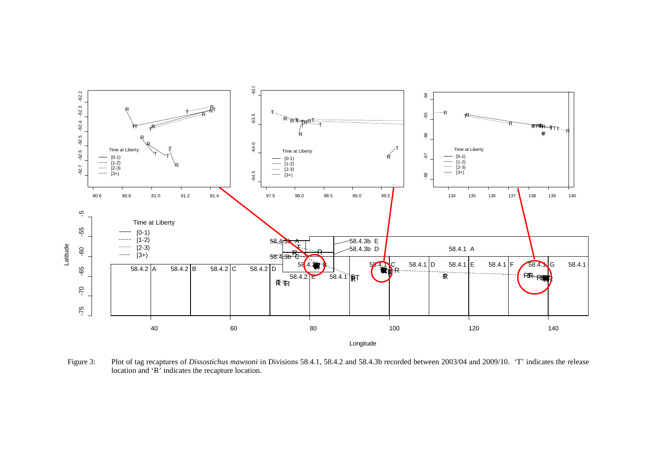

Figure 3: Plot of tag recaptures of *Dissostichus mawsoni* in Divisions 58.4.1, 58.4.2 and 58.4.3b recorded between 2003/04 and 2009/10. 'T' indicates the release location and 'R' indicates the recapture location.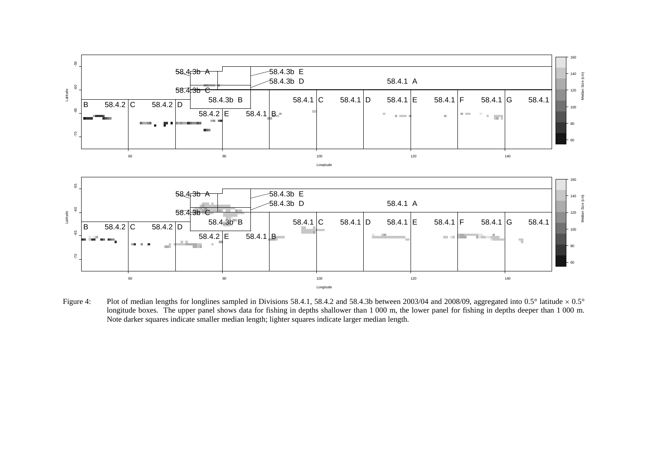

Figure 4: Plot of median lengths for longlines sampled in Divisions 58.4.1, 58.4.2 and 58.4.3b between 2003/04 and 2008/09, aggregated into 0.5° latitude  $\times 0.5^{\circ}$ longitude boxes. The upper panel shows data for fishing in depths shallower than 1 000 m, the lower panel for fishing in depths deeper than 1 000 m. Note darker squares indicate smaller median length; lighter squares indicate larger median length.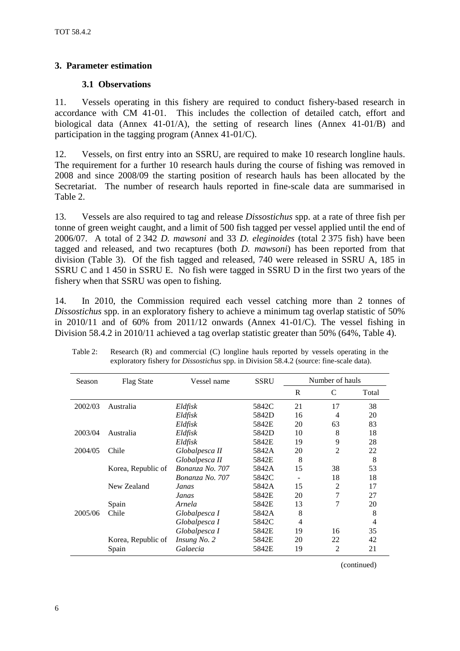## <span id="page-7-0"></span>**3. Parameter estimation**

## **3.1 Observations**

11. Vessels operating in this fishery are required to conduct fishery-based research in accordance with CM 41-01. This includes the collection of detailed catch, effort and biological data (Annex 41-01/A), the setting of research lines (Annex 41-01/B) and participation in the tagging program (Annex 41-01/C).

12. Vessels, on first entry into an SSRU, are required to make 10 research longline hauls. The requirement for a further 10 research hauls during the course of fishing was removed in 2008 and since 2008/09 the starting position of research hauls has been allocated by the Secretariat. The number of research hauls reported in fine-scale data are summarised in Table 2.

13. Vessels are also required to tag and release *Dissostichus* spp. at a rate of three fish per tonne of green weight caught, and a limit of 500 fish tagged per vessel applied until the end of 2006/07. A total of 2 342 *D. mawsoni* and 33 *D. eleginoides* (total 2 375 fish) have been tagged and released, and two recaptures (both *D. mawsoni*) has been reported from that division (Table 3). Of the fish tagged and released, 740 were released in SSRU A, 185 in SSRU C and 1 450 in SSRU E. No fish were tagged in SSRU D in the first two years of the fishery when that SSRU was open to fishing.

14. In 2010, the Commission required each vessel catching more than 2 tonnes of *Dissostichus* spp. in an exploratory fishery to achieve a minimum tag overlap statistic of 50% in 2010/11 and of 60% from 2011/12 onwards (Annex 41-01/C). The vessel fishing in Division 58.4.2 in 2010/11 achieved a tag overlap statistic greater than 50% (64%, Table 4).

| Season  | <b>Flag State</b>  | Vessel name     | <b>SSRU</b> | Number of hauls |                |       |
|---------|--------------------|-----------------|-------------|-----------------|----------------|-------|
|         |                    |                 |             | R               | C              | Total |
| 2002/03 | Australia          | Eldfisk         | 5842C       | 21              | 17             | 38    |
|         |                    | Eldfisk         | 5842D       | 16              | 4              | 20    |
|         |                    | Eldfisk         | 5842E       | 20              | 63             | 83    |
| 2003/04 | Australia          | Eldfisk         | 5842D       | 10              | 8              | 18    |
|         |                    | Eldfisk         | 5842E       | 19              | 9              | 28    |
| 2004/05 | Chile              | Globalpesca II  | 5842A       | 20              | $\mathfrak{D}$ | 22    |
|         |                    | Globalpesca II  | 5842E       | 8               |                | 8     |
|         | Korea, Republic of | Bonanza No. 707 | 5842A       | 15              | 38             | 53    |
|         |                    | Bonanza No. 707 | 5842C       |                 | 18             | 18    |
|         | New Zealand        | Janas           | 5842A       | 15              | $\overline{2}$ | 17    |
|         |                    | Janas           | 5842E       | 20              | 7              | 27    |
|         | Spain              | Arnela          | 5842E       | 13              | 7              | 20    |
| 2005/06 | Chile              | Globalpesca I   | 5842A       | 8               |                | 8     |
|         |                    | Globalpesca I   | 5842C       | 4               |                | 4     |
|         |                    | Globalpesca I   | 5842E       | 19              | 16             | 35    |
|         | Korea, Republic of | Insung No. 2    | 5842E       | 20              | 22             | 42    |
|         | Spain              | Galaecia        | 5842E       | 19              | $\overline{2}$ | 21    |

Table 2: Research (R) and commercial (C) longline hauls reported by vessels operating in the exploratory fishery for *Dissostichus* spp. in Division 58.4.2 (source: fine-scale data).

(continued)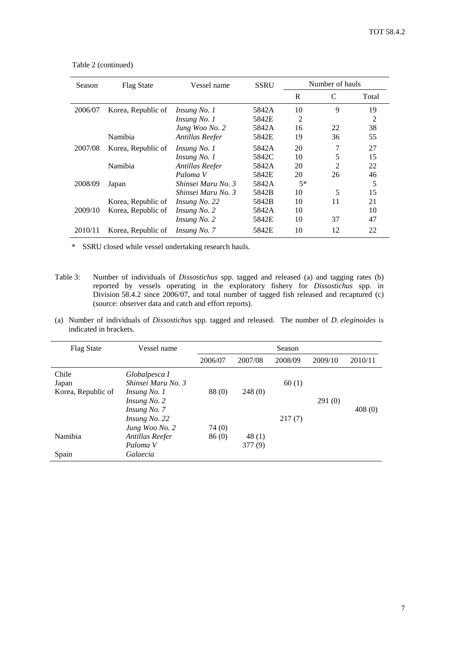| Season  | <b>Flag State</b>  | Vessel name         | <b>SSRU</b> | Number of hauls |                |       |
|---------|--------------------|---------------------|-------------|-----------------|----------------|-------|
|         |                    |                     |             | R               | C              | Total |
| 2006/07 | Korea, Republic of | <i>Insung No. 1</i> | 5842A       | 10              | 9              | 19    |
|         |                    | <i>Insung No. 1</i> | 5842E       | $\overline{2}$  |                | 2     |
|         |                    | Jung Woo No. 2      | 5842A       | 16              | 22             | 38    |
|         | Namibia            | Antillas Reefer     | 5842E       | 19              | 36             | 55    |
| 2007/08 | Korea, Republic of | <i>Insung No. 1</i> | 5842A       | 20              | 7              | 27    |
|         |                    | <i>Insung No. 1</i> | 5842C       | 10              | 5              | 15    |
|         | Namibia            | Antillas Reefer     | 5842A       | 20              | $\mathfrak{D}$ | 22    |
|         |                    | Paloma V            | 5842E       | 20              | 26             | 46    |
| 2008/09 | Japan              | Shinsei Maru No. 3  | 5842A       | $5*$            |                | 5     |
|         |                    | Shinsei Maru No. 3  | 5842B       | 10              | 5              | 15    |
|         | Korea, Republic of | Insung No. 22       | 5842B       | 10              | 11             | 21    |
| 2009/10 | Korea, Republic of | Insung No. 2        | 5842A       | 10              |                | 10    |
|         |                    | Insung No. 2        | 5842E       | 10              | 37             | 47    |
| 2010/11 | Korea, Republic of | Insung No. 7        | 5842E       | 10              | 12             | 22    |

Table 2 (continued)

\* SSRU closed while vessel undertaking research hauls.

- Table 3: Number of individuals of *Dissostichus* spp. tagged and released (a) and tagging rates (b) reported by vessels operating in the exploratory fishery for *Dissostichus* spp. in Division 58.4.2 since 2006/07, and total number of tagged fish released and recaptured (c) (source: observer data and catch and effort reports).
- (a) Number of individuals of *Dissostichus* spp. tagged and released. The number of *D. eleginoides* is indicated in brackets.

| <b>Flag State</b>  | Vessel name         |         |         | Season  |         |         |
|--------------------|---------------------|---------|---------|---------|---------|---------|
|                    |                     | 2006/07 | 2007/08 | 2008/09 | 2009/10 | 2010/11 |
| Chile              | Globalpesca I       |         |         |         |         |         |
| Japan              | Shinsei Maru No. 3  |         |         | 60(1)   |         |         |
| Korea, Republic of | <i>Insung No. 1</i> | 88 (0)  | 248(0)  |         |         |         |
|                    | <i>Insung No. 2</i> |         |         |         | 291(0)  |         |
|                    | Insung No. 7        |         |         |         |         | 408(0)  |
|                    | Insung No. 22       |         |         | 217(7)  |         |         |
|                    | Jung Woo No. 2      | 74 (0)  |         |         |         |         |
| Namibia            | Antillas Reefer     | 86(0)   | 48(1)   |         |         |         |
|                    | Paloma V            |         | 377(9)  |         |         |         |
| Spain              | Galaecia            |         |         |         |         |         |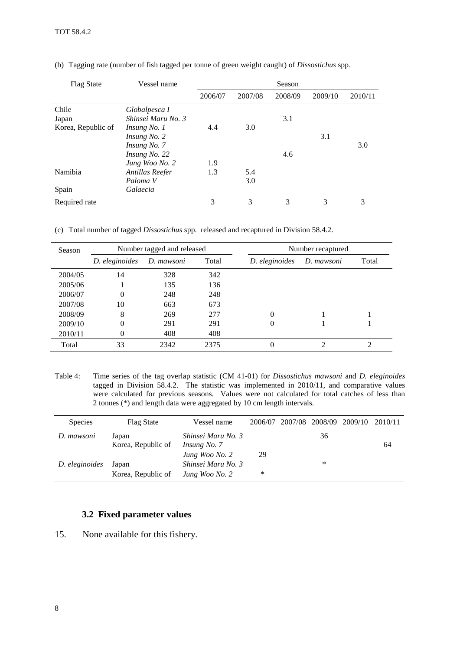| <b>Flag State</b>  | Vessel name        | Season  |         |         |         |         |
|--------------------|--------------------|---------|---------|---------|---------|---------|
|                    |                    | 2006/07 | 2007/08 | 2008/09 | 2009/10 | 2010/11 |
| Chile              | Globalpesca I      |         |         |         |         |         |
| Japan              | Shinsei Maru No. 3 |         |         | 3.1     |         |         |
| Korea, Republic of | Insung No. 1       | 4.4     | 3.0     |         |         |         |
|                    | Insung No. 2       |         |         |         | 3.1     |         |
|                    | Insung No. 7       |         |         |         |         | 3.0     |
|                    | Insung No. 22      |         |         | 4.6     |         |         |
|                    | Jung Woo No. 2     | 1.9     |         |         |         |         |
| Namibia            | Antillas Reefer    | 1.3     | 5.4     |         |         |         |
|                    | Paloma V           |         | 3.0     |         |         |         |
| Spain              | Galaecia           |         |         |         |         |         |
| Required rate      |                    | 3       | 3       | 3       | 3       | 3       |

(b) Tagging rate (number of fish tagged per tonne of green weight caught) of *Dissostichus* spp.

(c) Total number of tagged *Dissostichus* spp. released and recaptured in Division 58.4.2.

| Season  | Number tagged and released |            |       |                | Number recaptured |                |  |  |  |
|---------|----------------------------|------------|-------|----------------|-------------------|----------------|--|--|--|
|         | D. eleginoides             | D. mawsoni | Total | D. eleginoides | D. mawsoni        | Total          |  |  |  |
| 2004/05 | 14                         | 328        | 342   |                |                   |                |  |  |  |
| 2005/06 |                            | 135        | 136   |                |                   |                |  |  |  |
| 2006/07 | $\Omega$                   | 248        | 248   |                |                   |                |  |  |  |
| 2007/08 | 10                         | 663        | 673   |                |                   |                |  |  |  |
| 2008/09 | 8                          | 269        | 277   | 0              |                   |                |  |  |  |
| 2009/10 | 0                          | 291        | 291   | 0              |                   |                |  |  |  |
| 2010/11 | 0                          | 408        | 408   |                |                   |                |  |  |  |
| Total   | 33                         | 2342       | 2375  | 0              | ∍                 | $\mathfrak{D}$ |  |  |  |

Table 4: Time series of the tag overlap statistic (CM 41-01) for *Dissostichus mawsoni* and *D. eleginoides* tagged in Division 58.4.2. The statistic was implemented in 2010/11, and comparative values were calculated for previous seasons. Values were not calculated for total catches of less than 2 tonnes (\*) and length data were aggregated by 10 cm length intervals.

| <b>Species</b> | <b>Flag State</b>           | Vessel name                               |    | 2006/07 2007/08 2008/09 2009/10 | 2010/11 |
|----------------|-----------------------------|-------------------------------------------|----|---------------------------------|---------|
| D. mawsoni     | Japan<br>Korea, Republic of | Shinsei Maru No. 3<br><i>Insung No.</i> 7 |    | 36                              | 64      |
| D. eleginoides | Japan                       | Jung Woo No. 2<br>Shinsei Maru No. 3      | 29 | *                               |         |
|                | Korea, Republic of          | Jung Woo No. 2                            | ∗  |                                 |         |

## **3.2 Fixed parameter values**

15. None available for this fishery.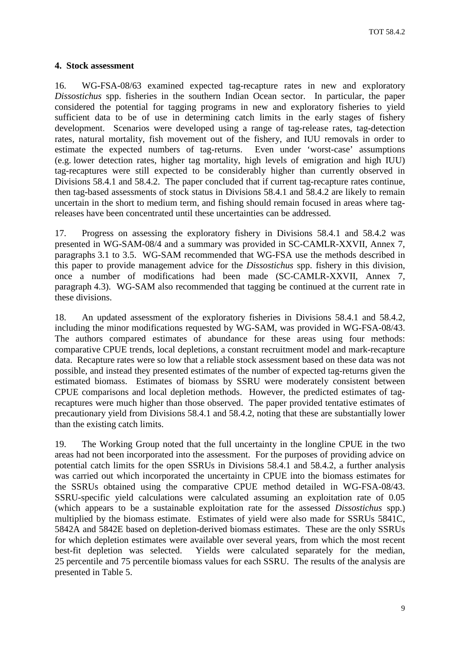### <span id="page-10-0"></span>**4. Stock assessment**

16. WG-FSA-08/63 examined expected tag-recapture rates in new and exploratory *Dissostichus* spp. fisheries in the southern Indian Ocean sector. In particular, the paper considered the potential for tagging programs in new and exploratory fisheries to yield sufficient data to be of use in determining catch limits in the early stages of fishery development. Scenarios were developed using a range of tag-release rates, tag-detection rates, natural mortality, fish movement out of the fishery, and IUU removals in order to estimate the expected numbers of tag-returns. Even under 'worst-case' assumptions (e.g. lower detection rates, higher tag mortality, high levels of emigration and high IUU) tag-recaptures were still expected to be considerably higher than currently observed in Divisions 58.4.1 and 58.4.2. The paper concluded that if current tag-recapture rates continue, then tag-based assessments of stock status in Divisions 58.4.1 and 58.4.2 are likely to remain uncertain in the short to medium term, and fishing should remain focused in areas where tagreleases have been concentrated until these uncertainties can be addressed.

17. Progress on assessing the exploratory fishery in Divisions 58.4.1 and 58.4.2 was presented in WG-SAM-08/4 and a summary was provided in SC-CAMLR-XXVII, Annex 7, paragraphs 3.1 to 3.5. WG-SAM recommended that WG-FSA use the methods described in this paper to provide management advice for the *Dissostichus* spp. fishery in this division, once a number of modifications had been made (SC-CAMLR-XXVII, Annex 7, paragraph 4.3). WG-SAM also recommended that tagging be continued at the current rate in these divisions.

18. An updated assessment of the exploratory fisheries in Divisions 58.4.1 and 58.4.2, including the minor modifications requested by WG-SAM, was provided in WG-FSA-08/43. The authors compared estimates of abundance for these areas using four methods: comparative CPUE trends, local depletions, a constant recruitment model and mark-recapture data. Recapture rates were so low that a reliable stock assessment based on these data was not possible, and instead they presented estimates of the number of expected tag-returns given the estimated biomass. Estimates of biomass by SSRU were moderately consistent between CPUE comparisons and local depletion methods. However, the predicted estimates of tagrecaptures were much higher than those observed. The paper provided tentative estimates of precautionary yield from Divisions 58.4.1 and 58.4.2, noting that these are substantially lower than the existing catch limits.

19. The Working Group noted that the full uncertainty in the longline CPUE in the two areas had not been incorporated into the assessment. For the purposes of providing advice on potential catch limits for the open SSRUs in Divisions 58.4.1 and 58.4.2, a further analysis was carried out which incorporated the uncertainty in CPUE into the biomass estimates for the SSRUs obtained using the comparative CPUE method detailed in WG-FSA-08/43. SSRU-specific yield calculations were calculated assuming an exploitation rate of 0.05 (which appears to be a sustainable exploitation rate for the assessed *Dissostichus* spp.) multiplied by the biomass estimate. Estimates of yield were also made for SSRUs 5841C, 5842A and 5842E based on depletion-derived biomass estimates. These are the only SSRUs for which depletion estimates were available over several years, from which the most recent best-fit depletion was selected. Yields were calculated separately for the median, 25 percentile and 75 percentile biomass values for each SSRU. The results of the analysis are presented in Table 5.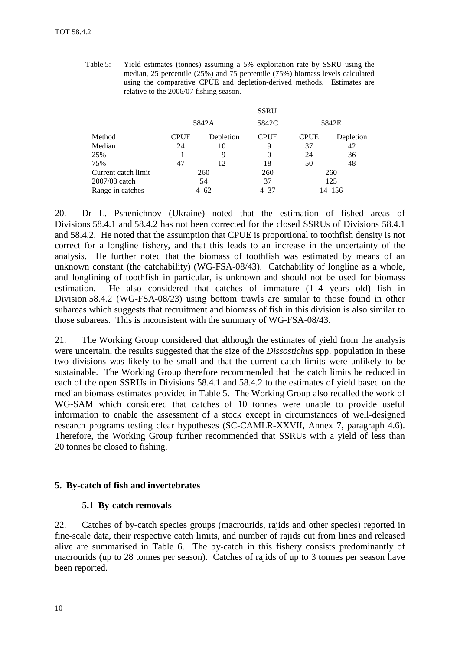<span id="page-11-0"></span>

| Table 5: | Yield estimates (tonnes) assuming a 5% exploitation rate by SSRU using the          |
|----------|-------------------------------------------------------------------------------------|
|          | median, 25 percentile $(25\%)$ and 75 percentile $(75\%)$ biomass levels calculated |
|          | using the comparative CPUE and depletion-derived methods. Estimates are             |
|          | relative to the 2006/07 fishing season.                                             |

|                     | <b>SSRU</b> |           |             |             |           |  |
|---------------------|-------------|-----------|-------------|-------------|-----------|--|
|                     |             | 5842A     | 5842C       |             | 5842E     |  |
| Method              | <b>CPUE</b> | Depletion | <b>CPUE</b> | <b>CPUE</b> | Depletion |  |
| Median              | 24          | 10        | 9           | 37          | 42        |  |
| 25%                 |             | 9         | 0           | 24          | 36        |  |
| 75%                 | 47          | 12        | 18          | 50          | 48        |  |
| Current catch limit |             | 260       | 260         |             | 260       |  |
| 2007/08 catch       | 54          |           | 37          | 125         |           |  |
| Range in catches    |             | $4 - 62$  | $4 - 37$    | $14 - 156$  |           |  |

20. Dr L. Pshenichnov (Ukraine) noted that the estimation of fished areas of Divisions 58.4.1 and 58.4.2 has not been corrected for the closed SSRUs of Divisions 58.4.1 and 58.4.2. He noted that the assumption that CPUE is proportional to toothfish density is not correct for a longline fishery, and that this leads to an increase in the uncertainty of the analysis. He further noted that the biomass of toothfish was estimated by means of an unknown constant (the catchability) (WG-FSA-08/43). Catchability of longline as a whole, and longlining of toothfish in particular, is unknown and should not be used for biomass estimation. He also considered that catches of immature (1–4 years old) fish in Division 58.4.2 (WG-FSA-08/23) using bottom trawls are similar to those found in other subareas which suggests that recruitment and biomass of fish in this division is also similar to those subareas. This is inconsistent with the summary of WG-FSA-08/43.

21. The Working Group considered that although the estimates of yield from the analysis were uncertain, the results suggested that the size of the *Dissostichus* spp. population in these two divisions was likely to be small and that the current catch limits were unlikely to be sustainable. The Working Group therefore recommended that the catch limits be reduced in each of the open SSRUs in Divisions 58.4.1 and 58.4.2 to the estimates of yield based on the median biomass estimates provided in Table 5. The Working Group also recalled the work of WG-SAM which considered that catches of 10 tonnes were unable to provide useful information to enable the assessment of a stock except in circumstances of well-designed research programs testing clear hypotheses (SC-CAMLR-XXVII, Annex 7, paragraph 4.6). Therefore, the Working Group further recommended that SSRUs with a yield of less than 20 tonnes be closed to fishing.

### **5. By-catch of fish and invertebrates**

### **5.1 By-catch removals**

22. Catches of by-catch species groups (macrourids, rajids and other species) reported in fine-scale data, their respective catch limits, and number of rajids cut from lines and released alive are summarised in Table 6. The by-catch in this fishery consists predominantly of macrourids (up to 28 tonnes per season). Catches of rajids of up to 3 tonnes per season have been reported.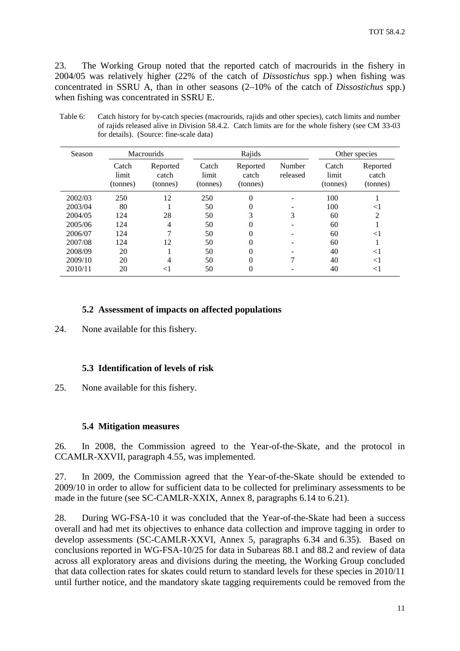23. The Working Group noted that the reported catch of macrourids in the fishery in 2004/05 was relatively higher (22% of the catch of *Dissostichus* spp.) when fishing was concentrated in SSRU A, than in other seasons (2–10% of the catch of *Dissostichus* spp.) when fishing was concentrated in SSRU E.

| Season  | <b>Macrourids</b>          |                               | Rajids                     |                               |                    | Other species              |                               |
|---------|----------------------------|-------------------------------|----------------------------|-------------------------------|--------------------|----------------------------|-------------------------------|
|         | Catch<br>limit<br>(tonnes) | Reported<br>catch<br>(tonnes) | Catch<br>limit<br>(tonnes) | Reported<br>catch<br>(tonnes) | Number<br>released | Catch<br>limit<br>(tonnes) | Reported<br>catch<br>(tonnes) |
| 2002/03 | 250                        | 12                            | 250                        | 0                             |                    | 100                        |                               |
| 2003/04 | 80                         |                               | 50                         | 0                             |                    | 100                        | $<$ 1                         |
| 2004/05 | 124                        | 28                            | 50                         | 3                             | 3                  | 60                         | 2                             |
| 2005/06 | 124                        | 4                             | 50                         | 0                             |                    | 60                         |                               |
| 2006/07 | 124                        | ⇁                             | 50                         | 0                             |                    | 60                         | $<$ 1                         |
| 2007/08 | 124                        | 12                            | 50                         | 0                             |                    | 60                         |                               |
| 2008/09 | 20                         |                               | 50                         | 0                             |                    | 40                         | $<$ 1                         |
| 2009/10 | 20                         | 4                             | 50                         | 0                             |                    | 40                         | $<$ 1                         |
| 2010/11 | 20                         | <1                            | 50                         | 0                             |                    | 40                         | $<$ 1                         |

Table 6: Catch history for by-catch species (macrourids, rajids and other species), catch limits and number of rajids released alive in Division 58.4.2. Catch limits are for the whole fishery (see CM 33-03 for details). (Source: fine-scale data)

### **5.2 Assessment of impacts on affected populations**

24. None available for this fishery.

#### **5.3 Identification of levels of risk**

25. None available for this fishery.

#### **5.4 Mitigation measures**

26. In 2008, the Commission agreed to the Year-of-the-Skate, and the protocol in CCAMLR-XXVII, paragraph 4.55, was implemented.

27. In 2009, the Commission agreed that the Year-of-the-Skate should be extended to 2009/10 in order to allow for sufficient data to be collected for preliminary assessments to be made in the future (see SC-CAMLR-XXIX, Annex 8, paragraphs 6.14 to 6.21).

28. During WG-FSA-10 it was concluded that the Year-of-the-Skate had been a success overall and had met its objectives to enhance data collection and improve tagging in order to develop assessments (SC-CAMLR-XXVI, Annex 5, paragraphs 6.34 and 6.35). Based on conclusions reported in WG-FSA-10/25 for data in Subareas 88.1 and 88.2 and review of data across all exploratory areas and divisions during the meeting, the Working Group concluded that data collection rates for skates could return to standard levels for these species in 2010/11 until further notice, and the mandatory skate tagging requirements could be removed from the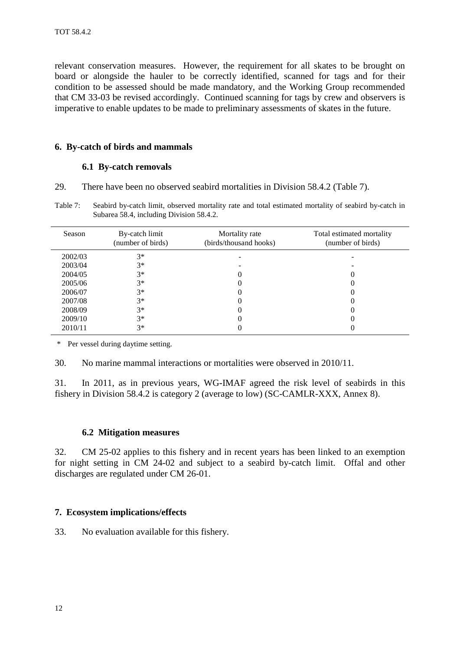<span id="page-13-0"></span>relevant conservation measures. However, the requirement for all skates to be brought on board or alongside the hauler to be correctly identified, scanned for tags and for their condition to be assessed should be made mandatory, and the Working Group recommended that CM 33-03 be revised accordingly. Continued scanning for tags by crew and observers is imperative to enable updates to be made to preliminary assessments of skates in the future.

#### **6. By-catch of birds and mammals**

#### **6.1 By-catch removals**

29. There have been no observed seabird mortalities in Division 58.4.2 (Table 7).

Table 7: Seabird by-catch limit, observed mortality rate and total estimated mortality of seabird by-catch in Subarea 58.4, including Division 58.4.2.

| Season  | By-catch limit<br>(number of birds) | Mortality rate<br>(birds/thousand hooks) | Total estimated mortality<br>(number of birds) |
|---------|-------------------------------------|------------------------------------------|------------------------------------------------|
| 2002/03 | $3*$                                |                                          |                                                |
| 2003/04 | $3*$                                |                                          |                                                |
| 2004/05 | $3*$                                |                                          |                                                |
| 2005/06 | $3*$                                |                                          |                                                |
| 2006/07 | $3*$                                |                                          |                                                |
| 2007/08 | $3*$                                |                                          |                                                |
| 2008/09 | $3*$                                |                                          |                                                |
| 2009/10 | $3*$                                |                                          |                                                |
| 2010/11 | $3*$                                |                                          |                                                |

\* Per vessel during daytime setting.

30. No marine mammal interactions or mortalities were observed in 2010/11.

31. In 2011, as in previous years, WG-IMAF agreed the risk level of seabirds in this fishery in Division 58.4.2 is category 2 (average to low) (SC-CAMLR-XXX, Annex 8).

#### **6.2 Mitigation measures**

32. CM 25-02 applies to this fishery and in recent years has been linked to an exemption for night setting in CM 24-02 and subject to a seabird by-catch limit. Offal and other discharges are regulated under CM 26-01.

### **7. Ecosystem implications/effects**

33. No evaluation available for this fishery.